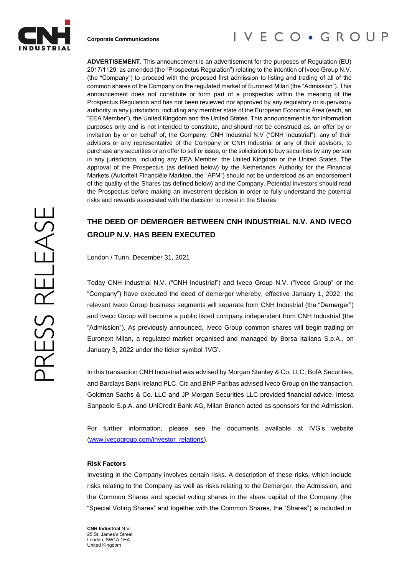

**Corporate Communications**

## VECO · GROUP

**ADVERTISEMENT**. This announcement is an advertisement for the purposes of Regulation (EU) 2017/1129, as amended (the "Prospectus Regulation") relating to the intention of Iveco Group N.V. (the "Company") to proceed with the proposed first admission to listing and trading of all of the common shares of the Company on the regulated market of Euronext Milan (the "Admission"). This announcement does not constitute or form part of a prospectus within the meaning of the Prospectus Regulation and has not been reviewed nor approved by any regulatory or supervisory authority in any jurisdiction, including any member state of the European Economic Area (each, an "EEA Member"), the United Kingdom and the United States. This announcement is for information purposes only and is not intended to constitute, and should not be construed as, an offer by or invitation by or on behalf of, the Company, CNH Industrial N.V ("CNH Industrial"), any of their advisors or any representative of the Company or CNH Industrial or any of their advisors, to purchase any securities or an offer to sell or issue, or the solicitation to buy securities by any person in any jurisdiction, including any EEA Member, the United Kingdom or the United States. The approval of the Prospectus (as defined below) by the Netherlands Authority for the Financial Markets (Autoriteit Financiële Markten, the "AFM") should not be understood as an endorsement of the quality of the Shares (as defined below) and the Company. Potential investors should read the Prospectus before making an investment decision in order to fully understand the potential risks and rewards associated with the decision to invest in the Shares.

### **THE DEED OF DEMERGER BETWEEN CNH INDUSTRIAL N.V. AND IVECO GROUP N.V. HAS BEEN EXECUTED**

London / Turin, December 31, 2021

Today CNH Industrial N.V. ("CNH Industrial") and Iveco Group N.V. ("Iveco Group" or the "Company") have executed the deed of demerger whereby, effective January 1, 2022, the relevant Iveco Group business segments will separate from CNH Industrial (the "Demerger") and Iveco Group will become a public listed company independent from CNH Industrial (the "Admission"). As previously announced, Iveco Group common shares will begin trading on Euronext Milan, a regulated market organised and managed by Borsa Italiana S.p.A., on January 3, 2022 under the ticker symbol 'IVG'.

In this transaction CNH Industrial was advised by Morgan Stanley & Co. LLC, BofA Securities, and Barclays Bank Ireland PLC. Citi and BNP Paribas advised Iveco Group on the transaction. Goldman Sachs & Co. LLC and JP Morgan Securities LLC provided financial advice. Intesa Sanpaolo S.p.A. and UniCredit Bank AG, Milan Branch acted as sponsors for the Admission.

For further information, please see the documents available at IVG's website [\(www.ivecogroup.com/investor\\_relations\)](http://www.ivecogroup.com/investor_relations/).

#### **Risk Factors**

Investing in the Company involves certain risks. A description of these risks, which include risks relating to the Company as well as risks relating to the Demerger, the Admission, and the Common Shares and special voting shares in the share capital of the Company (the "Special Voting Shares" and together with the Common Shares, the "Shares") is included in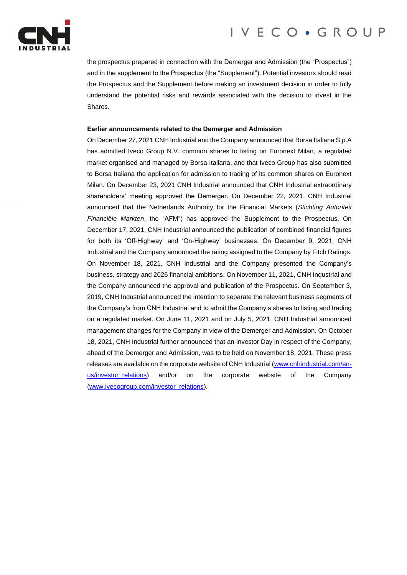



the prospectus prepared in connection with the Demerger and Admission (the "Prospectus") and in the supplement to the Prospectus (the "Supplement"). Potential investors should read the Prospectus and the Supplement before making an investment decision in order to fully understand the potential risks and rewards associated with the decision to invest in the Shares.

#### **Earlier announcements related to the Demerger and Admission**

On December 27, 2021 CNH Industrial and the Company announced that Borsa Italiana S.p.A has admitted Iveco Group N.V. common shares to listing on Euronext Milan, a regulated market organised and managed by Borsa Italiana, and that Iveco Group has also submitted to Borsa Italiana the application for admission to trading of its common shares on Euronext Milan. On December 23, 2021 CNH Industrial announced that CNH Industrial extraordinary shareholders' meeting approved the Demerger. On December 22, 2021, CNH Industrial announced that the Netherlands Authority for the Financial Markets (*Stichting Autoriteit Financiële Markten*, the "AFM") has approved the Supplement to the Prospectus. On December 17, 2021, CNH Industrial announced the publication of combined financial figures for both its 'Off-Highway' and 'On-Highway' businesses. On December 9, 2021, CNH Industrial and the Company announced the rating assigned to the Company by Fitch Ratings. On November 18, 2021, CNH Industrial and the Company presented the Company's business, strategy and 2026 financial ambitions. On November 11, 2021, CNH Industrial and the Company announced the approval and publication of the Prospectus. On September 3, 2019, CNH Industrial announced the intention to separate the relevant business segments of the Company's from CNH Industrial and to admit the Company's shares to listing and trading on a regulated market. On June 11, 2021 and on July 5, 2021, CNH Industrial announced management changes for the Company in view of the Demerger and Admission. On October 18, 2021, CNH Industrial further announced that an Investor Day in respect of the Company, ahead of the Demerger and Admission, was to be held on November 18, 2021. These press releases are available on the corporate website of CNH Industrial [\(www.cnhindustrial.com/en](http://www.cnhindustrial.com/en-us/investor_relations)[us/investor\\_relations\)](http://www.cnhindustrial.com/en-us/investor_relations) and/or on the corporate website of the Company [\(www.ivecogroup.com/investor\\_relations\)](http://www.ivecogroup.com/investor_relations/).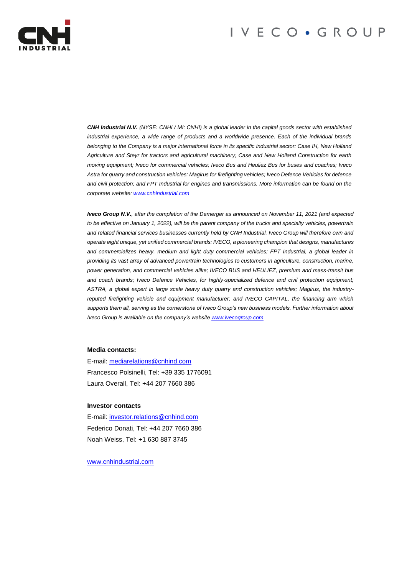

*CNH Industrial N.V. (NYSE: CNHI / MI: CNHI) is a global leader in the capital goods sector with established industrial experience, a wide range of products and a worldwide presence. Each of the individual brands belonging to the Company is a major international force in its specific industrial sector: Case IH, New Holland Agriculture and Steyr for tractors and agricultural machinery; Case and New Holland Construction for earth moving equipment; Iveco for commercial vehicles; Iveco Bus and Heuliez Bus for buses and coaches; Iveco Astra for quarry and construction vehicles; Magirus for firefighting vehicles; Iveco Defence Vehicles for defence and civil protection; and FPT Industrial for engines and transmissions. More information can be found on the corporate website[: www.cnhindustrial.com](http://www.cnhindustrial.com/)*

*Iveco Group N.V., after the completion of the Demerger as announced on November 11, 2021 (and expected to be effective on January 1, 2022), will be the parent company of the trucks and specialty vehicles, powertrain and related financial services businesses currently held by CNH Industrial. Iveco Group will therefore own and operate eight unique, yet unified commercial brands: IVECO, a pioneering champion that designs, manufactures and commercializes heavy, medium and light duty commercial vehicles; FPT Industrial, a global leader in providing its vast array of advanced powertrain technologies to customers in agriculture, construction, marine, power generation, and commercial vehicles alike; IVECO BUS and HEULIEZ, premium and mass-transit bus and coach brands; Iveco Defence Vehicles, for highly-specialized defence and civil protection equipment; ASTRA, a global expert in large scale heavy duty quarry and construction vehicles; Magirus, the industryreputed firefighting vehicle and equipment manufacturer; and IVECO CAPITAL, the financing arm which supports them all, serving as the cornerstone of Iveco Group's new business models. Further information about Iveco Group is available on the company's websit[e www.ivecogroup.com](http://www.ivecogroup.com/)*

#### **Media contacts:**

E-mail: [mediarelations@cnhind.com](mailto:mediarelations@cnhind.com) Francesco Polsinelli, Tel: +39 335 1776091 Laura Overall, Tel: +44 207 7660 386

#### **Investor contacts**

E-mail: [investor.relations@cnhind.com](mailto:investor.relations@cnhind.com) Federico Donati, Tel: +44 207 7660 386 Noah Weiss, Tel: +1 630 887 3745

[www.cnhindustrial.com](http://www.cnhindustrial.com/)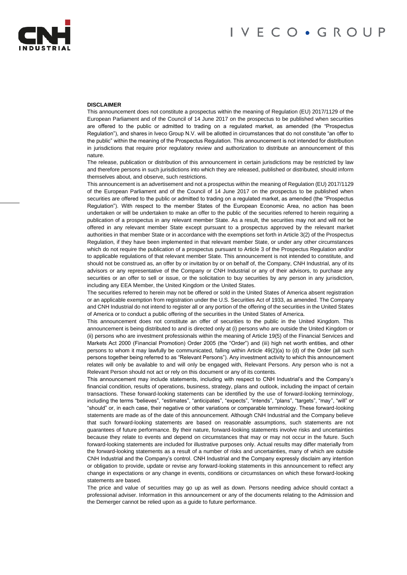

## VECO · GROUP

#### **DISCLAIMER**

This announcement does not constitute a prospectus within the meaning of Regulation (EU) 2017/1129 of the European Parliament and of the Council of 14 June 2017 on the prospectus to be published when securities are offered to the public or admitted to trading on a regulated market, as amended (the "Prospectus Regulation"), and shares in Iveco Group N.V. will be allotted in circumstances that do not constitute "an offer to the public" within the meaning of the Prospectus Regulation. This announcement is not intended for distribution in jurisdictions that require prior regulatory review and authorization to distribute an announcement of this nature.

The release, publication or distribution of this announcement in certain jurisdictions may be restricted by law and therefore persons in such jurisdictions into which they are released, published or distributed, should inform themselves about, and observe, such restrictions.

This announcement is an advertisement and not a prospectus within the meaning of Regulation (EU) 2017/1129 of the European Parliament and of the Council of 14 June 2017 on the prospectus to be published when securities are offered to the public or admitted to trading on a regulated market, as amended (the "Prospectus Regulation"). With respect to the member States of the European Economic Area, no action has been undertaken or will be undertaken to make an offer to the public of the securities referred to herein requiring a publication of a prospectus in any relevant member State. As a result, the securities may not and will not be offered in any relevant member State except pursuant to a prospectus approved by the relevant market authorities in that member State or in accordance with the exemptions set forth in Article 3(2) of the Prospectus Regulation, if they have been implemented in that relevant member State, or under any other circumstances which do not require the publication of a prospectus pursuant to Article 3 of the Prospectus Regulation and/or to applicable regulations of that relevant member State. This announcement is not intended to constitute, and should not be construed as, an offer by or invitation by or on behalf of, the Company, CNH Industrial, any of its advisors or any representative of the Company or CNH Industrial or any of their advisors, to purchase any securities or an offer to sell or issue, or the solicitation to buy securities by any person in any jurisdiction, including any EEA Member, the United Kingdom or the United States.

The securities referred to herein may not be offered or sold in the United States of America absent registration or an applicable exemption from registration under the U.S. Securities Act of 1933, as amended. The Company and CNH Industrial do not intend to register all or any portion of the offering of the securities in the United States of America or to conduct a public offering of the securities in the United States of America.

This announcement does not constitute an offer of securities to the public in the United Kingdom. This announcement is being distributed to and is directed only at (i) persons who are outside the United Kingdom or (ii) persons who are investment professionals within the meaning of Article 19(5) of the Financial Services and Markets Act 2000 (Financial Promotion) Order 2005 (the "Order") and (iii) high net worth entities, and other persons to whom it may lawfully be communicated, falling within Article 49(2)(a) to (d) of the Order (all such persons together being referred to as "Relevant Persons"). Any investment activity to which this announcement relates will only be available to and will only be engaged with, Relevant Persons. Any person who is not a Relevant Person should not act or rely on this document or any of its contents.

This announcement may include statements, including with respect to CNH Industrial's and the Company's financial condition, results of operations, business, strategy, plans and outlook, including the impact of certain transactions. These forward-looking statements can be identified by the use of forward-looking terminology, including the terms "believes", "estimates", "anticipates", "expects", "intends", "plans", "targets", "may", "will" or "should" or, in each case, their negative or other variations or comparable terminology. These forward-looking statements are made as of the date of this announcement. Although CNH Industrial and the Company believe that such forward-looking statements are based on reasonable assumptions, such statements are not guarantees of future performance. By their nature, forward-looking statements involve risks and uncertainties because they relate to events and depend on circumstances that may or may not occur in the future. Such forward-looking statements are included for illustrative purposes only. Actual results may differ materially from the forward-looking statements as a result of a number of risks and uncertainties, many of which are outside CNH Industrial and the Company's control. CNH Industrial and the Company expressly disclaim any intention or obligation to provide, update or revise any forward-looking statements in this announcement to reflect any change in expectations or any change in events, conditions or circumstances on which these forward-looking statements are based.

The price and value of securities may go up as well as down. Persons needing advice should contact a professional adviser. Information in this announcement or any of the documents relating to the Admission and the Demerger cannot be relied upon as a guide to future performance.